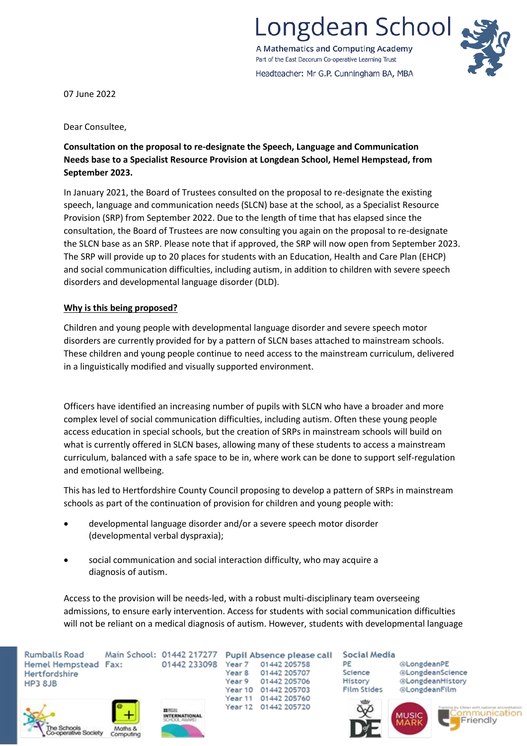

A Mathematics and Computing Academy Part of the East Dacorum Co-operative Learning Trust Headteacher: Mr G.P. Cunningham BA, MBA



07 June 2022

Dear Consultee,

# **Consultation on the proposal to re-designate the Speech, Language and Communication Needs base to a Specialist Resource Provision at Longdean School, Hemel Hempstead, from September 2023.**

In January 2021, the Board of Trustees consulted on the proposal to re-designate the existing speech, language and communication needs (SLCN) base at the school, as a Specialist Resource Provision (SRP) from September 2022. Due to the length of time that has elapsed since the consultation, the Board of Trustees are now consulting you again on the proposal to re-designate the SLCN base as an SRP. Please note that if approved, the SRP will now open from September 2023. The SRP will provide up to 20 places for students with an Education, Health and Care Plan (EHCP) and social communication difficulties, including autism, in addition to children with severe speech disorders and developmental language disorder (DLD).

# **Why is this being proposed?**

Children and young people with developmental language disorder and severe speech motor disorders are currently provided for by a pattern of SLCN bases attached to mainstream schools. These children and young people continue to need access to the mainstream curriculum, delivered in a linguistically modified and visually supported environment.

Officers have identified an increasing number of pupils with SLCN who have a broader and more complex level of social communication difficulties, including autism. Often these young people access education in special schools, but the creation of SRPs in mainstream schools will build on what is currently offered in SLCN bases, allowing many of these students to access a mainstream curriculum, balanced with a safe space to be in, where work can be done to support self-regulation and emotional wellbeing.

This has led to Hertfordshire County Council proposing to develop a pattern of SRPs in mainstream schools as part of the continuation of provision for children and young people with:

- developmental language disorder and/or a severe speech motor disorder (developmental verbal dyspraxia);
- social communication and social interaction difficulty, who may acquire a diagnosis of autism.

Access to the provision will be needs-led, with a robust multi-disciplinary team overseeing admissions, to ensure early intervention. Access for students with social communication difficulties will not be reliant on a medical diagnosis of autism. However, students with developmental language

Main School: 01442 217277 **Rumballs Road** Hemel Hempstead Fax: Hertfordshire **HP3 8JB** 





01442 233098

Pupil Absence please call Year 7 01442 205758 Year 8 01442 205707 Year 9 01442 205706 Year 10 01442 205703 Year 11 01442 205760 Year 12 01442 205720

**Social Media** 

PE Science History **Film Stides**  @LongdeanPE @LongdeanScience @LongdeanHistory @LongdeanFilm





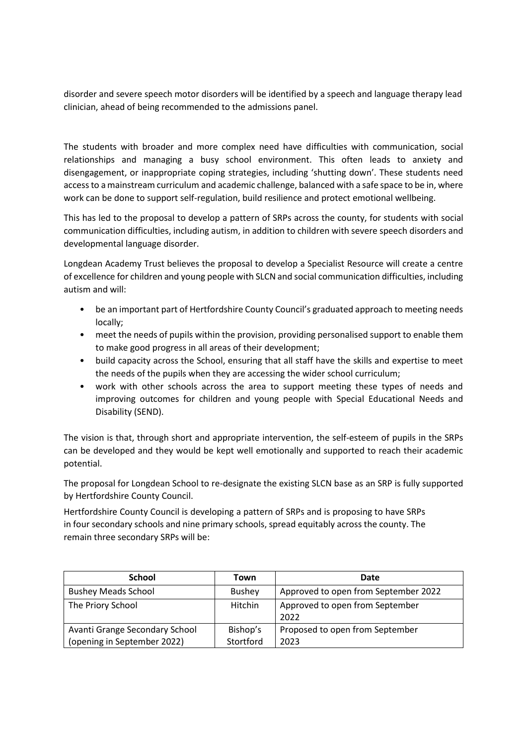disorder and severe speech motor disorders will be identified by a speech and language therapy lead clinician, ahead of being recommended to the admissions panel.

The students with broader and more complex need have difficulties with communication, social relationships and managing a busy school environment. This often leads to anxiety and disengagement, or inappropriate coping strategies, including 'shutting down'. These students need access to a mainstream curriculum and academic challenge, balanced with a safe space to be in, where work can be done to support self-regulation, build resilience and protect emotional wellbeing.

This has led to the proposal to develop a pattern of SRPs across the county, for students with social communication difficulties, including autism, in addition to children with severe speech disorders and developmental language disorder.

Longdean Academy Trust believes the proposal to develop a Specialist Resource will create a centre of excellence for children and young people with SLCN and social communication difficulties, including autism and will:

- be an important part of Hertfordshire County Council's graduated approach to meeting needs locally;
- meet the needs of pupils within the provision, providing personalised support to enable them to make good progress in all areas of their development;
- build capacity across the School, ensuring that all staff have the skills and expertise to meet the needs of the pupils when they are accessing the wider school curriculum;
- work with other schools across the area to support meeting these types of needs and improving outcomes for children and young people with Special Educational Needs and Disability (SEND).

The vision is that, through short and appropriate intervention, the self-esteem of pupils in the SRPs can be developed and they would be kept well emotionally and supported to reach their academic potential.

The proposal for Longdean School to re-designate the existing SLCN base as an SRP is fully supported by Hertfordshire County Council.

Hertfordshire County Council is developing a pattern of SRPs and is proposing to have SRPs in four secondary schools and nine primary schools, spread equitably across the county. The remain three secondary SRPs will be:

| <b>School</b>                  | Town          | Date                                    |
|--------------------------------|---------------|-----------------------------------------|
| <b>Bushey Meads School</b>     | <b>Bushey</b> | Approved to open from September 2022    |
| The Priory School              | Hitchin       | Approved to open from September<br>2022 |
| Avanti Grange Secondary School | Bishop's      | Proposed to open from September         |
| (opening in September 2022)    | Stortford     | 2023                                    |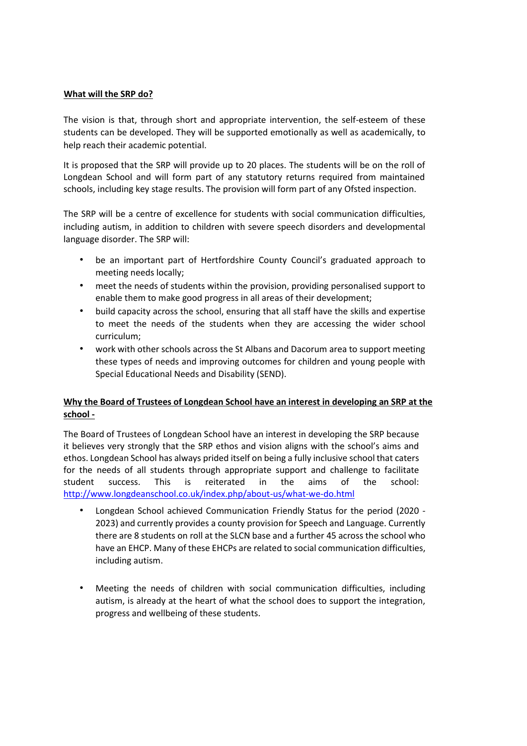# **What will the SRP do?**

The vision is that, through short and appropriate intervention, the self-esteem of these students can be developed. They will be supported emotionally as well as academically, to help reach their academic potential.

It is proposed that the SRP will provide up to 20 places. The students will be on the roll of Longdean School and will form part of any statutory returns required from maintained schools, including key stage results. The provision will form part of any Ofsted inspection.

The SRP will be a centre of excellence for students with social communication difficulties, including autism, in addition to children with severe speech disorders and developmental language disorder. The SRP will:

- be an important part of Hertfordshire County Council's graduated approach to meeting needs locally;
- meet the needs of students within the provision, providing personalised support to enable them to make good progress in all areas of their development;
- build capacity across the school, ensuring that all staff have the skills and expertise to meet the needs of the students when they are accessing the wider school curriculum;
- work with other schools across the St Albans and Dacorum area to support meeting these types of needs and improving outcomes for children and young people with Special Educational Needs and Disability (SEND).

# **Why the Board of Trustees of Longdean School have an interest in developing an SRP at the school -**

The Board of Trustees of Longdean School have an interest in developing the SRP because it believes very strongly that the SRP ethos and vision aligns with the school's aims and ethos. Longdean School has always prided itself on being a fully inclusive school that caters for the needs of all students through appropriate support and challenge to facilitate student success. This is reiterated in the aims of the school: <http://www.longdeanschool.co.uk/index.php/about-us/what-we-do.html>

- Longdean School achieved Communication Friendly Status for the period (2020 2023) and currently provides a county provision for Speech and Language. Currently there are 8 students on roll at the SLCN base and a further 45 across the school who have an EHCP. Many of these EHCPs are related to social communication difficulties, including autism.
- Meeting the needs of children with social communication difficulties, including autism, is already at the heart of what the school does to support the integration, progress and wellbeing of these students.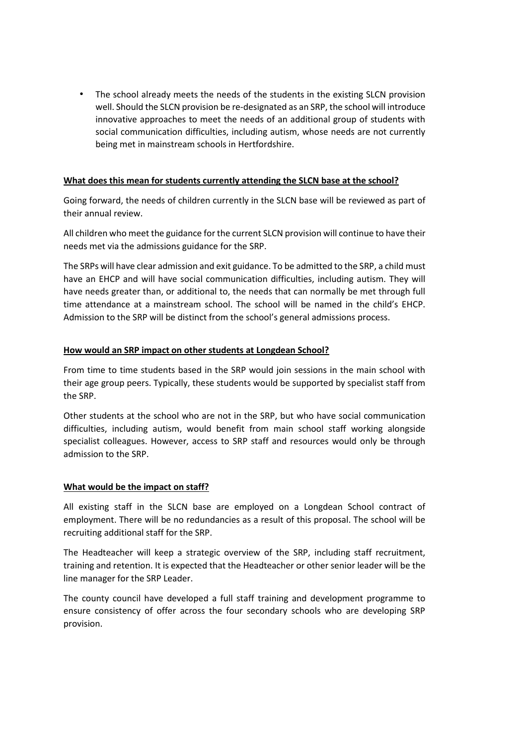• The school already meets the needs of the students in the existing SLCN provision well. Should the SLCN provision be re-designated as an SRP, the school will introduce innovative approaches to meet the needs of an additional group of students with social communication difficulties, including autism, whose needs are not currently being met in mainstream schools in Hertfordshire.

## **What does this mean for students currently attending the SLCN base at the school?**

Going forward, the needs of children currently in the SLCN base will be reviewed as part of their annual review.

All children who meet the guidance for the current SLCN provision will continue to have their needs met via the admissions guidance for the SRP.

The SRPs will have clear admission and exit guidance. To be admitted to the SRP, a child must have an EHCP and will have social communication difficulties, including autism. They will have needs greater than, or additional to, the needs that can normally be met through full time attendance at a mainstream school. The school will be named in the child's EHCP. Admission to the SRP will be distinct from the school's general admissions process.

### **How would an SRP impact on other students at Longdean School?**

From time to time students based in the SRP would join sessions in the main school with their age group peers. Typically, these students would be supported by specialist staff from the SRP.

Other students at the school who are not in the SRP, but who have social communication difficulties, including autism, would benefit from main school staff working alongside specialist colleagues. However, access to SRP staff and resources would only be through admission to the SRP.

### **What would be the impact on staff?**

All existing staff in the SLCN base are employed on a Longdean School contract of employment. There will be no redundancies as a result of this proposal. The school will be recruiting additional staff for the SRP.

The Headteacher will keep a strategic overview of the SRP, including staff recruitment, training and retention. It is expected that the Headteacher or other senior leader will be the line manager for the SRP Leader.

The county council have developed a full staff training and development programme to ensure consistency of offer across the four secondary schools who are developing SRP provision.